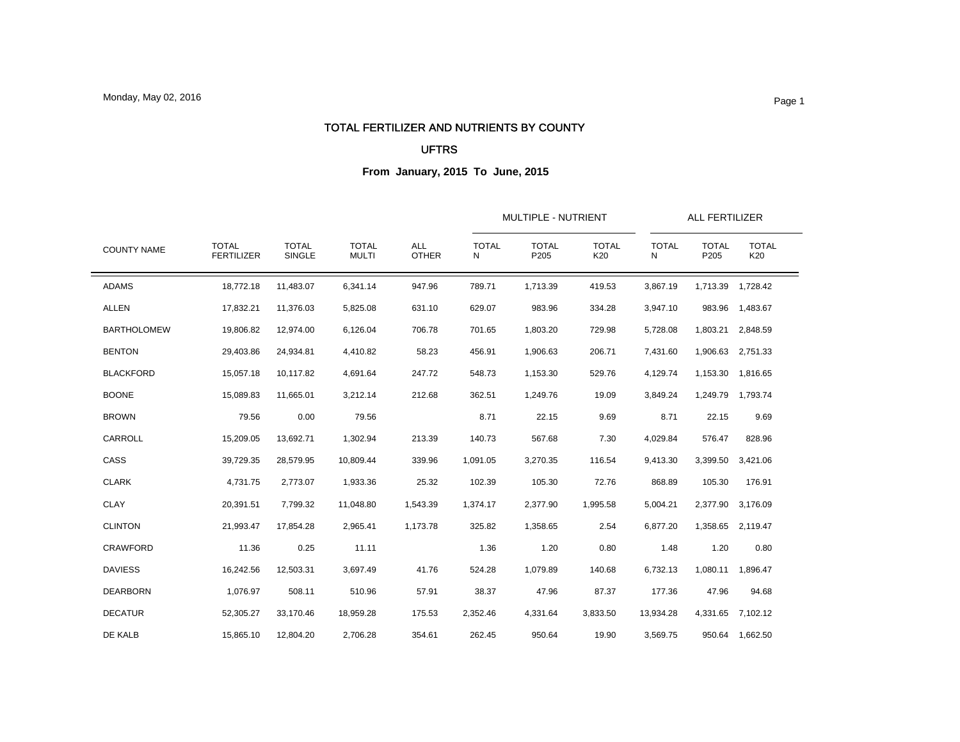### TOTAL FERTILIZER AND NUTRIENTS BY COUNTY

#### UFTRS

| <b>COUNTY NAME</b> |                                   |                        | <b>TOTAL</b><br><b>MULTI</b> | <b>ALL</b><br><b>OTHER</b> |                   | MULTIPLE - NUTRIENT  |                     |                   |                      | ALL FERTILIZER      |  |
|--------------------|-----------------------------------|------------------------|------------------------------|----------------------------|-------------------|----------------------|---------------------|-------------------|----------------------|---------------------|--|
|                    | <b>TOTAL</b><br><b>FERTILIZER</b> | <b>TOTAL</b><br>SINGLE |                              |                            | <b>TOTAL</b><br>N | <b>TOTAL</b><br>P205 | <b>TOTAL</b><br>K20 | <b>TOTAL</b><br>N | <b>TOTAL</b><br>P205 | <b>TOTAL</b><br>K20 |  |
| <b>ADAMS</b>       | 18,772.18                         | 11,483.07              | 6,341.14                     | 947.96                     | 789.71            | 1,713.39             | 419.53              | 3,867.19          |                      | 1,713.39 1,728.42   |  |
| <b>ALLEN</b>       | 17,832.21                         | 11,376.03              | 5,825.08                     | 631.10                     | 629.07            | 983.96               | 334.28              | 3,947.10          | 983.96               | 1,483.67            |  |
| <b>BARTHOLOMEW</b> | 19,806.82                         | 12,974.00              | 6,126.04                     | 706.78                     | 701.65            | 1,803.20             | 729.98              | 5,728.08          | 1,803.21             | 2,848.59            |  |
| <b>BENTON</b>      | 29,403.86                         | 24,934.81              | 4,410.82                     | 58.23                      | 456.91            | 1,906.63             | 206.71              | 7,431.60          | 1,906.63             | 2,751.33            |  |
| <b>BLACKFORD</b>   | 15,057.18                         | 10,117.82              | 4,691.64                     | 247.72                     | 548.73            | 1,153.30             | 529.76              | 4,129.74          | 1,153.30             | 1,816.65            |  |
| <b>BOONE</b>       | 15,089.83                         | 11,665.01              | 3,212.14                     | 212.68                     | 362.51            | 1,249.76             | 19.09               | 3,849.24          |                      | 1,249.79 1,793.74   |  |
| <b>BROWN</b>       | 79.56                             | 0.00                   | 79.56                        |                            | 8.71              | 22.15                | 9.69                | 8.71              | 22.15                | 9.69                |  |
| CARROLL            | 15,209.05                         | 13,692.71              | 1,302.94                     | 213.39                     | 140.73            | 567.68               | 7.30                | 4,029.84          | 576.47               | 828.96              |  |
| CASS               | 39,729.35                         | 28,579.95              | 10,809.44                    | 339.96                     | 1,091.05          | 3,270.35             | 116.54              | 9,413.30          | 3,399.50             | 3,421.06            |  |
| <b>CLARK</b>       | 4,731.75                          | 2,773.07               | 1,933.36                     | 25.32                      | 102.39            | 105.30               | 72.76               | 868.89            | 105.30               | 176.91              |  |
| <b>CLAY</b>        | 20,391.51                         | 7,799.32               | 11,048.80                    | 1,543.39                   | 1,374.17          | 2,377.90             | 1,995.58            | 5,004.21          | 2,377.90             | 3,176.09            |  |
| <b>CLINTON</b>     | 21,993.47                         | 17.854.28              | 2.965.41                     | 1,173.78                   | 325.82            | 1,358.65             | 2.54                | 6,877.20          | 1,358.65             | 2.119.47            |  |
| <b>CRAWFORD</b>    | 11.36                             | 0.25                   | 11.11                        |                            | 1.36              | 1.20                 | 0.80                | 1.48              | 1.20                 | 0.80                |  |
| <b>DAVIESS</b>     | 16,242.56                         | 12,503.31              | 3.697.49                     | 41.76                      | 524.28            | 1,079.89             | 140.68              | 6,732.13          | 1,080.11             | 1.896.47            |  |
| <b>DEARBORN</b>    | 1,076.97                          | 508.11                 | 510.96                       | 57.91                      | 38.37             | 47.96                | 87.37               | 177.36            | 47.96                | 94.68               |  |
| <b>DECATUR</b>     | 52,305.27                         | 33,170.46              | 18,959.28                    | 175.53                     | 2,352.46          | 4,331.64             | 3,833.50            | 13,934.28         | 4,331.65             | 7,102.12            |  |
| DE KALB            | 15,865.10                         | 12,804.20              | 2,706.28                     | 354.61                     | 262.45            | 950.64               | 19.90               | 3,569.75          |                      | 950.64 1,662.50     |  |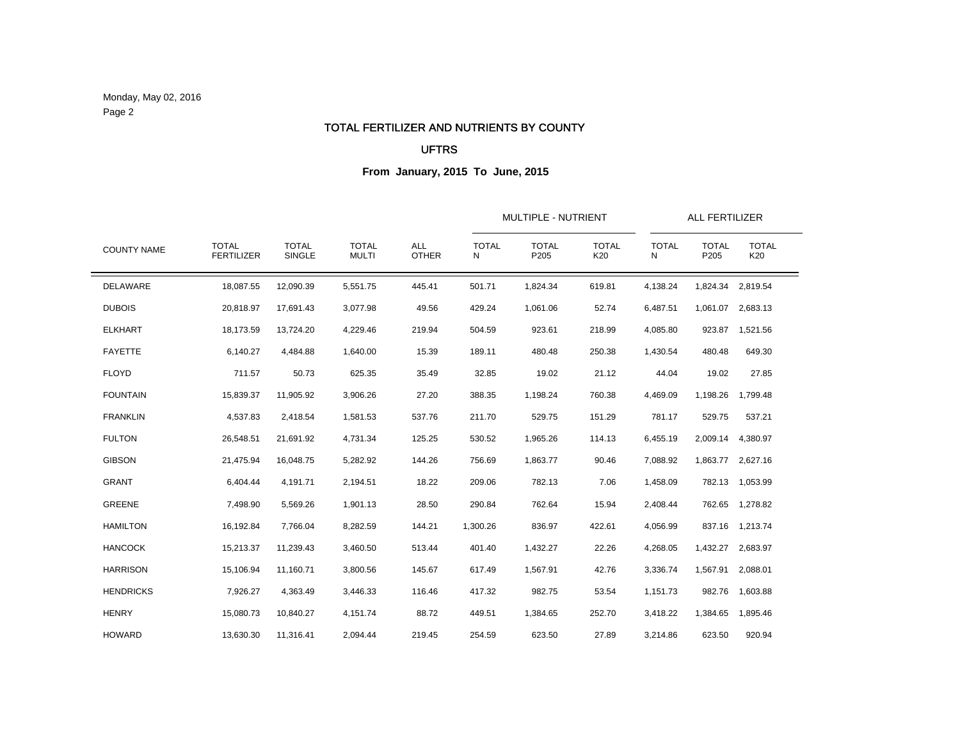Monday, May 02, 2016 Page 2

#### TOTAL FERTILIZER AND NUTRIENTS BY COUNTY

### UFTRS

| <b>COUNTY NAME</b> |                                   |                        |                              | <b>ALL</b><br><b>OTHER</b> |                   | <b>MULTIPLE - NUTRIENT</b> | <b>ALL FERTILIZER</b> |                   |                      |                     |
|--------------------|-----------------------------------|------------------------|------------------------------|----------------------------|-------------------|----------------------------|-----------------------|-------------------|----------------------|---------------------|
|                    | <b>TOTAL</b><br><b>FERTILIZER</b> | <b>TOTAL</b><br>SINGLE | <b>TOTAL</b><br><b>MULTI</b> |                            | <b>TOTAL</b><br>N | <b>TOTAL</b><br>P205       | <b>TOTAL</b><br>K20   | <b>TOTAL</b><br>N | <b>TOTAL</b><br>P205 | <b>TOTAL</b><br>K20 |
| DELAWARE           | 18,087.55                         | 12,090.39              | 5,551.75                     | 445.41                     | 501.71            | 1,824.34                   | 619.81                | 4,138.24          |                      | 1,824.34 2,819.54   |
| <b>DUBOIS</b>      | 20,818.97                         | 17,691.43              | 3,077.98                     | 49.56                      | 429.24            | 1,061.06                   | 52.74                 | 6,487.51          |                      | 1,061.07 2,683.13   |
| <b>ELKHART</b>     | 18,173.59                         | 13,724.20              | 4,229.46                     | 219.94                     | 504.59            | 923.61                     | 218.99                | 4,085.80          | 923.87               | 1,521.56            |
| <b>FAYETTE</b>     | 6,140.27                          | 4,484.88               | 1,640.00                     | 15.39                      | 189.11            | 480.48                     | 250.38                | 1,430.54          | 480.48               | 649.30              |
| <b>FLOYD</b>       | 711.57                            | 50.73                  | 625.35                       | 35.49                      | 32.85             | 19.02                      | 21.12                 | 44.04             | 19.02                | 27.85               |
| <b>FOUNTAIN</b>    | 15,839.37                         | 11,905.92              | 3,906.26                     | 27.20                      | 388.35            | 1,198.24                   | 760.38                | 4,469.09          | 1,198.26             | 1,799.48            |
| <b>FRANKLIN</b>    | 4,537.83                          | 2,418.54               | 1,581.53                     | 537.76                     | 211.70            | 529.75                     | 151.29                | 781.17            | 529.75               | 537.21              |
| <b>FULTON</b>      | 26,548.51                         | 21,691.92              | 4,731.34                     | 125.25                     | 530.52            | 1,965.26                   | 114.13                | 6,455.19          | 2,009.14             | 4,380.97            |
| <b>GIBSON</b>      | 21,475.94                         | 16,048.75              | 5,282.92                     | 144.26                     | 756.69            | 1,863.77                   | 90.46                 | 7,088.92          |                      | 1,863.77 2,627.16   |
| <b>GRANT</b>       | 6,404.44                          | 4,191.71               | 2,194.51                     | 18.22                      | 209.06            | 782.13                     | 7.06                  | 1,458.09          |                      | 782.13 1,053.99     |
| <b>GREENE</b>      | 7,498.90                          | 5,569.26               | 1,901.13                     | 28.50                      | 290.84            | 762.64                     | 15.94                 | 2,408.44          |                      | 762.65 1,278.82     |
| <b>HAMILTON</b>    | 16,192.84                         | 7,766.04               | 8,282.59                     | 144.21                     | 1,300.26          | 836.97                     | 422.61                | 4,056.99          |                      | 837.16 1,213.74     |
| <b>HANCOCK</b>     | 15,213.37                         | 11,239.43              | 3,460.50                     | 513.44                     | 401.40            | 1,432.27                   | 22.26                 | 4,268.05          |                      | 1,432.27 2,683.97   |
| <b>HARRISON</b>    | 15,106.94                         | 11,160.71              | 3,800.56                     | 145.67                     | 617.49            | 1,567.91                   | 42.76                 | 3,336.74          | 1,567.91             | 2,088.01            |
| <b>HENDRICKS</b>   | 7,926.27                          | 4,363.49               | 3,446.33                     | 116.46                     | 417.32            | 982.75                     | 53.54                 | 1,151.73          | 982.76               | 1,603.88            |
| <b>HENRY</b>       | 15,080.73                         | 10,840.27              | 4,151.74                     | 88.72                      | 449.51            | 1,384.65                   | 252.70                | 3,418.22          |                      | 1,384.65 1,895.46   |
| <b>HOWARD</b>      | 13,630.30                         | 11,316.41              | 2.094.44                     | 219.45                     | 254.59            | 623.50                     | 27.89                 | 3,214.86          | 623.50               | 920.94              |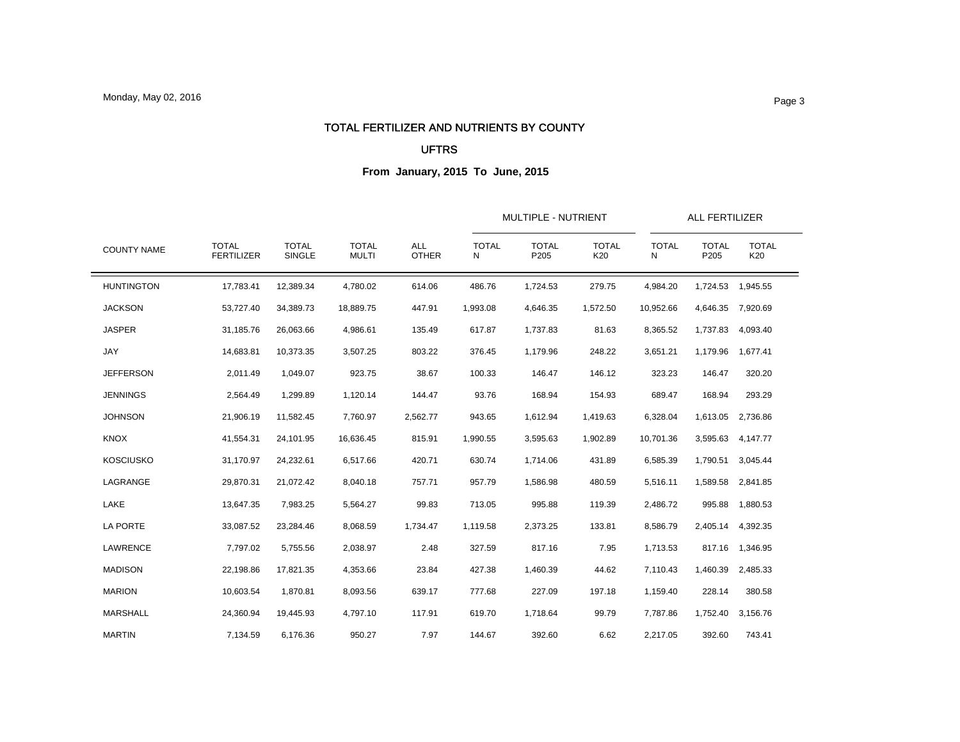### TOTAL FERTILIZER AND NUTRIENTS BY COUNTY

#### UFTRS

| <b>COUNTY NAME</b> |                                   |                        |                              |                            |                   | MULTIPLE - NUTRIENT  |                     | ALL FERTILIZER    |                      |                     |  |
|--------------------|-----------------------------------|------------------------|------------------------------|----------------------------|-------------------|----------------------|---------------------|-------------------|----------------------|---------------------|--|
|                    | <b>TOTAL</b><br><b>FERTILIZER</b> | <b>TOTAL</b><br>SINGLE | <b>TOTAL</b><br><b>MULTI</b> | <b>ALL</b><br><b>OTHER</b> | <b>TOTAL</b><br>N | <b>TOTAL</b><br>P205 | <b>TOTAL</b><br>K20 | <b>TOTAL</b><br>N | <b>TOTAL</b><br>P205 | <b>TOTAL</b><br>K20 |  |
| <b>HUNTINGTON</b>  | 17,783.41                         | 12,389.34              | 4,780.02                     | 614.06                     | 486.76            | 1,724.53             | 279.75              | 4,984.20          | 1,724.53             | 1,945.55            |  |
| <b>JACKSON</b>     | 53,727.40                         | 34,389.73              | 18,889.75                    | 447.91                     | 1,993.08          | 4,646.35             | 1,572.50            | 10,952.66         | 4,646.35             | 7,920.69            |  |
| <b>JASPER</b>      | 31,185.76                         | 26,063.66              | 4,986.61                     | 135.49                     | 617.87            | 1,737.83             | 81.63               | 8,365.52          | 1,737.83             | 4,093.40            |  |
| JAY                | 14,683.81                         | 10,373.35              | 3,507.25                     | 803.22                     | 376.45            | 1,179.96             | 248.22              | 3,651.21          | 1,179.96             | 1.677.41            |  |
| <b>JEFFERSON</b>   | 2,011.49                          | 1,049.07               | 923.75                       | 38.67                      | 100.33            | 146.47               | 146.12              | 323.23            | 146.47               | 320.20              |  |
| <b>JENNINGS</b>    | 2,564.49                          | 1,299.89               | 1,120.14                     | 144.47                     | 93.76             | 168.94               | 154.93              | 689.47            | 168.94               | 293.29              |  |
| <b>JOHNSON</b>     | 21,906.19                         | 11,582.45              | 7,760.97                     | 2,562.77                   | 943.65            | 1,612.94             | 1,419.63            | 6,328.04          | 1,613.05             | 2,736.86            |  |
| <b>KNOX</b>        | 41,554.31                         | 24,101.95              | 16,636.45                    | 815.91                     | 1,990.55          | 3,595.63             | 1,902.89            | 10,701.36         | 3,595.63             | 4,147.77            |  |
| <b>KOSCIUSKO</b>   | 31,170.97                         | 24,232.61              | 6,517.66                     | 420.71                     | 630.74            | 1,714.06             | 431.89              | 6,585.39          | 1,790.51             | 3,045.44            |  |
| LAGRANGE           | 29,870.31                         | 21,072.42              | 8,040.18                     | 757.71                     | 957.79            | 1,586.98             | 480.59              | 5,516.11          | 1,589.58             | 2,841.85            |  |
| LAKE               | 13,647.35                         | 7,983.25               | 5,564.27                     | 99.83                      | 713.05            | 995.88               | 119.39              | 2,486.72          | 995.88               | 1,880.53            |  |
| LA PORTE           | 33,087.52                         | 23,284.46              | 8,068.59                     | 1,734.47                   | 1,119.58          | 2,373.25             | 133.81              | 8,586.79          | 2,405.14             | 4,392.35            |  |
| LAWRENCE           | 7,797.02                          | 5,755.56               | 2,038.97                     | 2.48                       | 327.59            | 817.16               | 7.95                | 1,713.53          | 817.16               | 1,346.95            |  |
| <b>MADISON</b>     | 22,198.86                         | 17.821.35              | 4,353.66                     | 23.84                      | 427.38            | 1,460.39             | 44.62               | 7,110.43          | 1,460.39             | 2.485.33            |  |
| <b>MARION</b>      | 10,603.54                         | 1,870.81               | 8,093.56                     | 639.17                     | 777.68            | 227.09               | 197.18              | 1,159.40          | 228.14               | 380.58              |  |
| <b>MARSHALL</b>    | 24,360.94                         | 19,445.93              | 4,797.10                     | 117.91                     | 619.70            | 1,718.64             | 99.79               | 7,787.86          | 1,752.40             | 3,156.76            |  |
| <b>MARTIN</b>      | 7,134.59                          | 6,176.36               | 950.27                       | 7.97                       | 144.67            | 392.60               | 6.62                | 2,217.05          | 392.60               | 743.41              |  |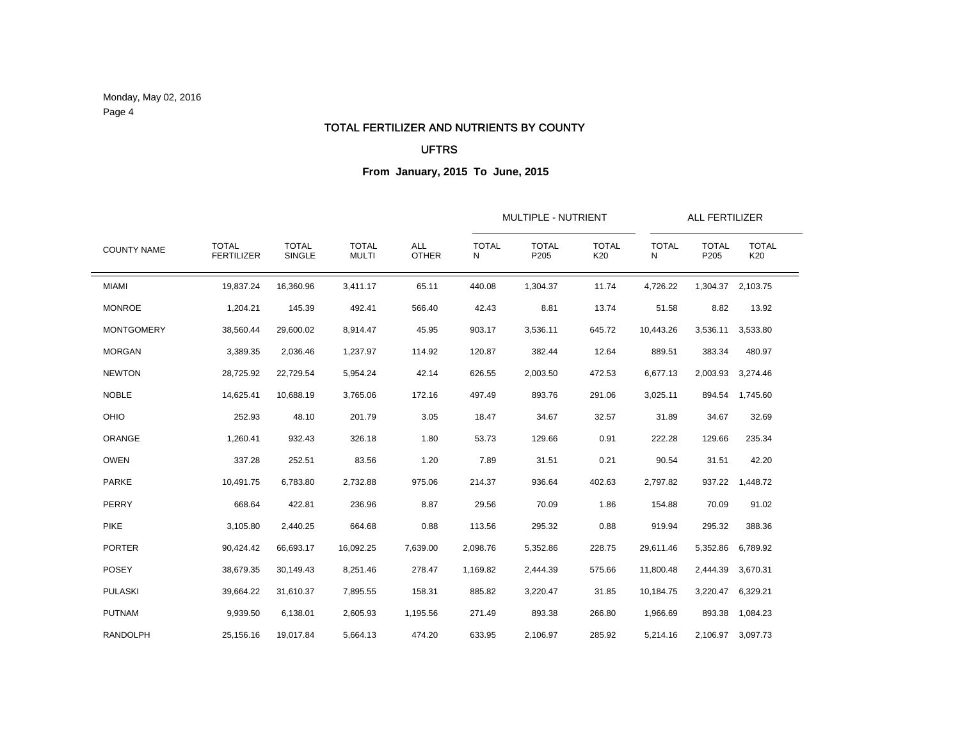Monday, May 02, 2016 Page 4

#### TOTAL FERTILIZER AND NUTRIENTS BY COUNTY

### UFTRS

|                    |                                   |                        |                              |                            |                   | MULTIPLE - NUTRIENT  |                     |                   | ALL FERTILIZER       |                     |  |
|--------------------|-----------------------------------|------------------------|------------------------------|----------------------------|-------------------|----------------------|---------------------|-------------------|----------------------|---------------------|--|
| <b>COUNTY NAME</b> | <b>TOTAL</b><br><b>FERTILIZER</b> | <b>TOTAL</b><br>SINGLE | <b>TOTAL</b><br><b>MULTI</b> | <b>ALL</b><br><b>OTHER</b> | <b>TOTAL</b><br>N | <b>TOTAL</b><br>P205 | <b>TOTAL</b><br>K20 | <b>TOTAL</b><br>N | <b>TOTAL</b><br>P205 | <b>TOTAL</b><br>K20 |  |
| <b>MIAMI</b>       | 19,837.24                         | 16,360.96              | 3,411.17                     | 65.11                      | 440.08            | 1,304.37             | 11.74               | 4,726.22          | 1,304.37             | 2,103.75            |  |
| <b>MONROE</b>      | 1,204.21                          | 145.39                 | 492.41                       | 566.40                     | 42.43             | 8.81                 | 13.74               | 51.58             | 8.82                 | 13.92               |  |
| <b>MONTGOMERY</b>  | 38,560.44                         | 29,600.02              | 8,914.47                     | 45.95                      | 903.17            | 3,536.11             | 645.72              | 10,443.26         | 3,536.11             | 3,533.80            |  |
| <b>MORGAN</b>      | 3,389.35                          | 2,036.46               | 1,237.97                     | 114.92                     | 120.87            | 382.44               | 12.64               | 889.51            | 383.34               | 480.97              |  |
| <b>NEWTON</b>      | 28,725.92                         | 22,729.54              | 5,954.24                     | 42.14                      | 626.55            | 2,003.50             | 472.53              | 6,677.13          | 2,003.93             | 3,274.46            |  |
| <b>NOBLE</b>       | 14,625.41                         | 10,688.19              | 3,765.06                     | 172.16                     | 497.49            | 893.76               | 291.06              | 3,025.11          | 894.54               | 1,745.60            |  |
| OHIO               | 252.93                            | 48.10                  | 201.79                       | 3.05                       | 18.47             | 34.67                | 32.57               | 31.89             | 34.67                | 32.69               |  |
| ORANGE             | 1,260.41                          | 932.43                 | 326.18                       | 1.80                       | 53.73             | 129.66               | 0.91                | 222.28            | 129.66               | 235.34              |  |
| <b>OWEN</b>        | 337.28                            | 252.51                 | 83.56                        | 1.20                       | 7.89              | 31.51                | 0.21                | 90.54             | 31.51                | 42.20               |  |
| <b>PARKE</b>       | 10,491.75                         | 6,783.80               | 2,732.88                     | 975.06                     | 214.37            | 936.64               | 402.63              | 2,797.82          | 937.22               | 1,448.72            |  |
| PERRY              | 668.64                            | 422.81                 | 236.96                       | 8.87                       | 29.56             | 70.09                | 1.86                | 154.88            | 70.09                | 91.02               |  |
| <b>PIKE</b>        | 3,105.80                          | 2,440.25               | 664.68                       | 0.88                       | 113.56            | 295.32               | 0.88                | 919.94            | 295.32               | 388.36              |  |
| <b>PORTER</b>      | 90,424.42                         | 66,693.17              | 16,092.25                    | 7,639.00                   | 2,098.76          | 5,352.86             | 228.75              | 29,611.46         | 5,352.86             | 6,789.92            |  |
| <b>POSEY</b>       | 38,679.35                         | 30,149.43              | 8,251.46                     | 278.47                     | 1,169.82          | 2,444.39             | 575.66              | 11,800.48         | 2,444.39             | 3,670.31            |  |
| <b>PULASKI</b>     | 39,664.22                         | 31,610.37              | 7,895.55                     | 158.31                     | 885.82            | 3,220.47             | 31.85               | 10,184.75         | 3,220.47             | 6,329.21            |  |
| <b>PUTNAM</b>      | 9,939.50                          | 6,138.01               | 2,605.93                     | 1,195.56                   | 271.49            | 893.38               | 266.80              | 1,966.69          | 893.38               | 1,084.23            |  |
| <b>RANDOLPH</b>    | 25,156.16                         | 19,017.84              | 5,664.13                     | 474.20                     | 633.95            | 2,106.97             | 285.92              | 5,214.16          | 2,106.97             | 3,097.73            |  |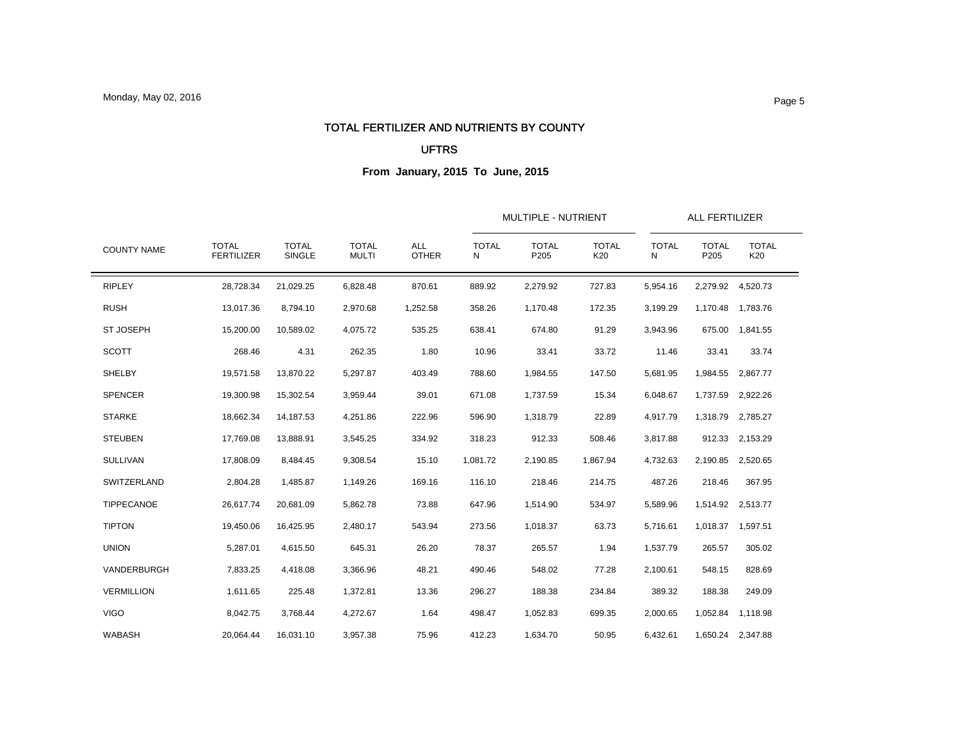### TOTAL FERTILIZER AND NUTRIENTS BY COUNTY

### UFTRS

| <b>COUNTY NAME</b> |                                   |                        |                              | <b>ALL</b><br><b>OTHER</b> |                   | <b>MULTIPLE - NUTRIENT</b> |                     |                   | <b>ALL FERTILIZER</b> |                     |  |  |
|--------------------|-----------------------------------|------------------------|------------------------------|----------------------------|-------------------|----------------------------|---------------------|-------------------|-----------------------|---------------------|--|--|
|                    | <b>TOTAL</b><br><b>FERTILIZER</b> | <b>TOTAL</b><br>SINGLE | <b>TOTAL</b><br><b>MULTI</b> |                            | <b>TOTAL</b><br>N | <b>TOTAL</b><br>P205       | <b>TOTAL</b><br>K20 | <b>TOTAL</b><br>N | <b>TOTAL</b><br>P205  | <b>TOTAL</b><br>K20 |  |  |
| <b>RIPLEY</b>      | 28,728.34                         | 21,029.25              | 6,828.48                     | 870.61                     | 889.92            | 2,279.92                   | 727.83              | 5,954.16          |                       | 2,279.92 4,520.73   |  |  |
| <b>RUSH</b>        | 13,017.36                         | 8,794.10               | 2,970.68                     | 1,252.58                   | 358.26            | 1,170.48                   | 172.35              | 3,199.29          |                       | 1,170.48 1,783.76   |  |  |
| <b>ST JOSEPH</b>   | 15,200.00                         | 10,589.02              | 4,075.72                     | 535.25                     | 638.41            | 674.80                     | 91.29               | 3,943.96          |                       | 675.00 1,841.55     |  |  |
| <b>SCOTT</b>       | 268.46                            | 4.31                   | 262.35                       | 1.80                       | 10.96             | 33.41                      | 33.72               | 11.46             | 33.41                 | 33.74               |  |  |
| SHELBY             | 19,571.58                         | 13,870.22              | 5,297.87                     | 403.49                     | 788.60            | 1,984.55                   | 147.50              | 5,681.95          | 1,984.55              | 2,867.77            |  |  |
| <b>SPENCER</b>     | 19,300.98                         | 15,302.54              | 3,959.44                     | 39.01                      | 671.08            | 1,737.59                   | 15.34               | 6,048.67          |                       | 1,737.59 2,922.26   |  |  |
| <b>STARKE</b>      | 18,662.34                         | 14,187.53              | 4,251.86                     | 222.96                     | 596.90            | 1,318.79                   | 22.89               | 4,917.79          |                       | 1,318.79 2,785.27   |  |  |
| <b>STEUBEN</b>     | 17,769.08                         | 13,888.91              | 3,545.25                     | 334.92                     | 318.23            | 912.33                     | 508.46              | 3,817.88          |                       | 912.33 2,153.29     |  |  |
| <b>SULLIVAN</b>    | 17,808.09                         | 8,484.45               | 9,308.54                     | 15.10                      | 1,081.72          | 2,190.85                   | 1,867.94            | 4,732.63          |                       | 2,190.85 2,520.65   |  |  |
| SWITZERLAND        | 2,804.28                          | 1,485.87               | 1,149.26                     | 169.16                     | 116.10            | 218.46                     | 214.75              | 487.26            | 218.46                | 367.95              |  |  |
| TIPPECANOE         | 26,617.74                         | 20,681.09              | 5,862.78                     | 73.88                      | 647.96            | 1,514.90                   | 534.97              | 5,589.96          |                       | 1,514.92 2,513.77   |  |  |
| <b>TIPTON</b>      | 19,450.06                         | 16,425.95              | 2,480.17                     | 543.94                     | 273.56            | 1,018.37                   | 63.73               | 5,716.61          |                       | 1,018.37 1,597.51   |  |  |
| <b>UNION</b>       | 5,287.01                          | 4,615.50               | 645.31                       | 26.20                      | 78.37             | 265.57                     | 1.94                | 1,537.79          | 265.57                | 305.02              |  |  |
| VANDERBURGH        | 7,833.25                          | 4,418.08               | 3,366.96                     | 48.21                      | 490.46            | 548.02                     | 77.28               | 2,100.61          | 548.15                | 828.69              |  |  |
| <b>VERMILLION</b>  | 1,611.65                          | 225.48                 | 1,372.81                     | 13.36                      | 296.27            | 188.38                     | 234.84              | 389.32            | 188.38                | 249.09              |  |  |
| <b>VIGO</b>        | 8,042.75                          | 3,768.44               | 4,272.67                     | 1.64                       | 498.47            | 1,052.83                   | 699.35              | 2,000.65          |                       | 1,052.84 1,118.98   |  |  |
| <b>WABASH</b>      | 20,064.44                         | 16,031.10              | 3,957.38                     | 75.96                      | 412.23            | 1,634.70                   | 50.95               | 6,432.61          |                       | 1,650.24 2,347.88   |  |  |